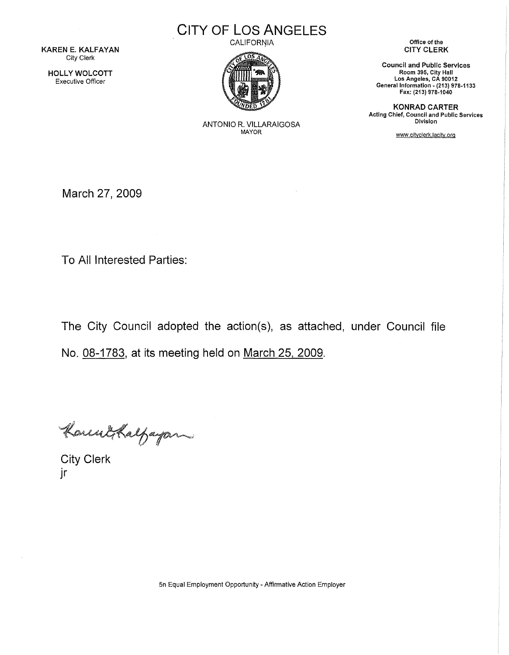KAREN E. KALFAYAN City Clerk

HOLLY WOLCOTT Executive Officer

CITY OF LOS ANGELES **CALIFORNIA** 



ANTONIO R. VILLARAIGOSA MAYOR

Office of the CITY CLERK

Council and Public Services Room 395, City Hall Los Angeles, CA 90012 General Information - (213) 978-1133 Fax: (213) 978-1040

KONRAD CARTER Acting Chief, Council and Public Services **Division** 

www.citvclerk.lacitv.org

March 27, 2009

To All Interested Parties:

The City Council adopted the action(s), as attached, under Council file No. 08-1783, at its meeting held on March 25, 2009.

KonentsKalfayan

jr

5n Equal Employment Opportunity - Affirmative Action Employer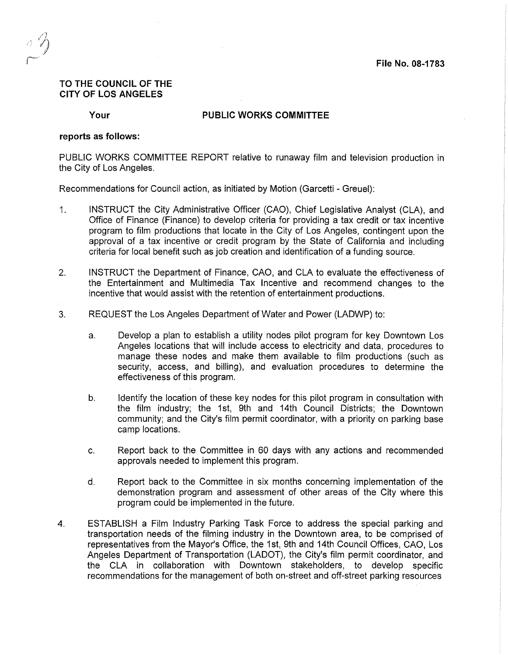## **TO THE COUNCIL OF THE CITY OF LOS ANGELES**

**Your** 

## **PUBLIC WORKS COMMITTEE**

## **reports as follows:**

PUBLIC WORKS COMMITTEE REPORT relative to runaway film and television production in the City of Los Angeles.

Recommendations for Council action, as initiated by Motion (Garcetti - Greuel):

- 1. INSTRUCT the City Administrative Officer (CAO), Chief Legislative Analyst (CLA), and Office of Finance (Finance) to develop criteria for providing a tax credit or tax incentive program to film productions that locate in the City of Los Angeles, contingent upon the approval of a tax incentive or credit program by the State of California and including criteria for local benefit such as job creation and identification of a funding source.
- 2. INSTRUCT the Department of Finance, CAO, and CLA to evaluate the effectiveness of the Entertainment and Multimedia Tax Incentive and recommend changes to the incentive that would assist with the retention of entertainment productions.
- 3. REQUEST the Los Angeles Department of Water and Power (LADWP) to:
	- a. Develop a plan to establish a utility nodes pilot program for key Downtown Los Angeles locations that will include access to electricity and data, procedures to manage these nodes and make them available to film productions (such as security, access, and billing), and evaluation procedures to determine the effectiveness of this program.
	- b. Identify the location of these key nodes for this pilot program in consultation with the film industry; the 1st, 9th and 14th Council Districts; the Downtown community; and the City's film permit coordinator, with a priority on parking base camp locations.
	- c. Report back to the Committee in 60 days with any actions and recommended approvals needed to implement this program.
	- d. Report back to the Committee in six months concerning implementation of the demonstration program and assessment of other areas of the City where this program could be implemented in the future.
- 4. ESTABLISH a Film Industry Parking Task Force to address the special parking and transportation needs of the filming industry in the Downtown area, to be comprised of representatives from the Mayor's Office, the 1st, 9th and 14th Council Offices, CAO, Los Angeles Department of Transportation (LADOT), the City's film permit coordinator, and the CLA in collaboration with Downtown stakeholders, to develop specific recommendations for the management of both on-street and off-street parking resources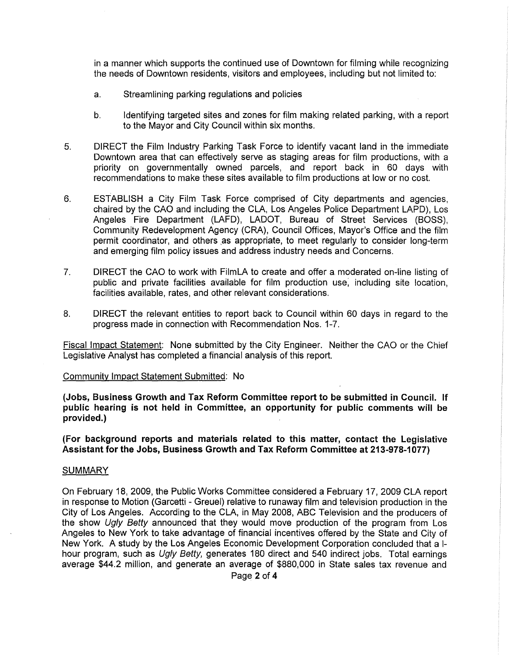in a manner which supports the continued use of Downtown for filming while recognizing the needs of Downtown residents, visitors and employees, including but not limited to:

- a. Streamlining parking regulations and policies
- b. Identifying targeted sites and zones for film making related parking, with a report to the Mayor and City Council within six months.
- 5. DIRECT the Film Industry Parking Task Force to identify vacant land in the immediate Downtown area that can effectively serve as staging areas for film productions, with a priority on governmentally owned parcels, and report back in 60 days with recommendations to make these sites available to film productions at low or no cost.
- 6. ESTABLISH a City Film Task Force comprised of City departments and agencies, chaired by the CAO and including the CLA, Los Angeles Police Department LAPD), Los Angeles Fire Department (LAFD), LADOT, Bureau of Street Services (BOSS), Community Redevelopment Agency (CRA), Council Offices, Mayor's Office and the film permit coordinator, and others as appropriate, to meet regularly to consider long-term and emerging film policy issues and address industry needs and Concerns.
- 7. DIRECT the CAO to work with FilmLA to create and offer a. moderated on-line listing of public and private facilities available for film production use; including site location, facilities available, rates, and other relevant considerations.
- 8. DIRECT the relevant entities to report back to Council within 60 days in regard to the progress made in connection with Recommendation Nos. 1-7.

Fiscal Impact Statement: None submitted by the City Engineer. Neither the CAO or the Chief Legislative Analyst has completed a financial analysis of this report.

#### Community Impact Statement Submitted: No

**(Jobs, Business Growth and Tax Reform Committee report to be submitted in Council. If public hearing is not held in Committee, an opportunity for public comments will be provided.)** 

**(For background reports and materials related to this matter, contact the Legislative**  Assistant for the Jobs, Business Growth and Tax Reform Committee at 213-978-1077)

#### **SUMMARY**

On February 18, 2009, the Public Works Committee considered a February 17, 2009 CLA report in response to Motion (Garcetti - Greuel) relative to runaway film and television production in the City of Los Angeles. According to the CLA, in May 2008, ABC Television and the producers of the show Ugly Betty announced that they would move production of the program from Los Angeles to New York to take advantage of financial incentives offered by the State and City of New York. A study by the Los Angeles Economic Development Corporation concluded that a 1 hour program, such as Ugly Betty, generates 180 direct and 540 indirect jobs. Total earnings average \$44.2 million, and generate an average of \$880,000 in State sales tax revenue and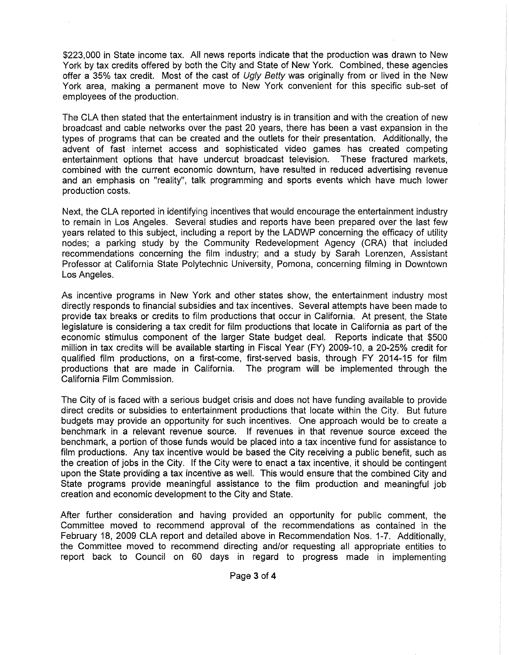\$223,000 in State income tax. All news reports indicate that the production was drawn to New York by tax credits offered by both the City and State of New York. Combined, these agencies offer a 35% tax credit. Most of the cast of Ugly Betty was originally from or lived in the New York area, making a permanent move to New York convenient for this specific sub-set of employees of the production.

The CLA then stated that the entertainment industry is in transition and with the creation of new broadcast and cable networks over the past 20 years, there has been a vast expansion in the types of programs that can be created and the outlets for their presentation. Additionally, the advent of fast internet access and sophisticated video games has created competing entertainment options that have undercut broadcast television. These fractured markets, combined with the current economic downturn, have resulted in reduced advertising revenue and an emphasis on "reality", talk programming and sports events which have much lower production costs.

Next, the CLA reported in identifying incentives that would encourage the entertainment industry to remain in Los Angeles. Several studies and reports have been prepared over the last few years related to this subject, including a report by the LADWP concerning the efficacy of utility nodes; a parking study by the Community Redevelopment Agency (CRA) that included recommendations concerning the film industry; and a study by Sarah Lorenzen, Assistant Professor at California State Polytechnic University, Pomona, concerning filming in Downtown Los Angeles.

As incentive programs in New York and other states show, the entertainment industry most directly responds to financial subsidies and tax incentives. Several attempts have been made to provide tax breaks or credits to film productions that occur in California. At present, the State legislature is considering a tax credit for film productions that locate in California as part of the economic stimulus component of the larger State budget deal. Reports indicate that \$500 million in tax credits will be available starting in Fiscal Year (FY) 2009-10, a 20-25% credit for qualified film productions, on a first-come, first-served basis, through FY 2014-15 for film productions that are made in California. The program will be implemented through the California Film Commission.

The City of is faced with a serious budget crisis and does not have funding available to provide direct credits or subsidies to entertainment productions that locate within the City. But future budgets may provide an opportunity for such incentives. One approach would be to create a benchmark in a relevant revenue source. If revenues in that revenue source exceed the benchmark, a portion of those funds would be placed into a tax incentive fund for assistance to film productions. Any tax incentive would be based the City receiving a public benefit, such as the creation of jobs in the City. If the City were to enact a tax incentive, it should be contingent upon the State providing a tax incentive as well. This would ensure that the combined City and State programs provide meaningful assistance to the film production and meaningful job creation and economic development to the City and State.

After further consideration and having provided an opportunity for public comment, the Committee moved to recommend approval of the recommendations as contained in the February 18, 2009 CLA report and detailed above in Recommendation Nos. 1-7. Additionally, the Committee moved to recommend directing and/or requesting all appropriate entities to report back to Council on 60 days in regard to progress made in implementing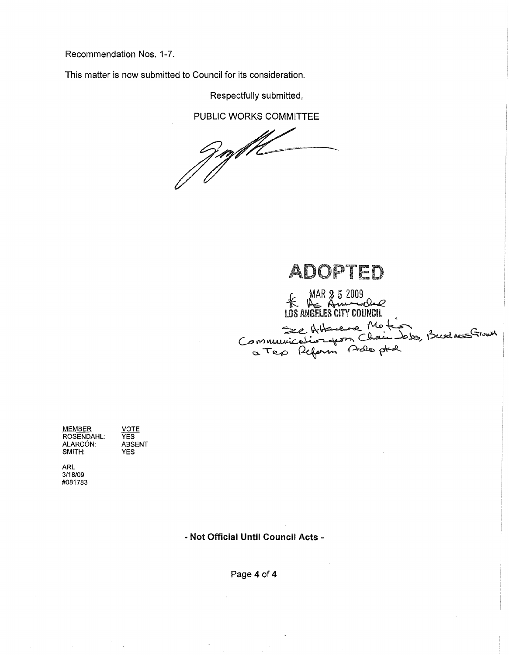Recommendation Nos. 1-7.

This matter is now submitted to Council for its consideration.

Respectfully submitted,

PUBLIC WORKS COMMITTEE

ADOPTED

K MAR 2 5 2009

LOS ANGELES CITY COUNCIL<br>See Hotmanne Motion , Busines Growth<br>Communication from Chain Jobs, Busines Growth

MEMBER ROSENDAHL: ALARC6N: SMITH: **VOTE** YES ABSENT YES

ARL 3/18/09 #081783

- Not Official Until Council Acts -

Page 4 of 4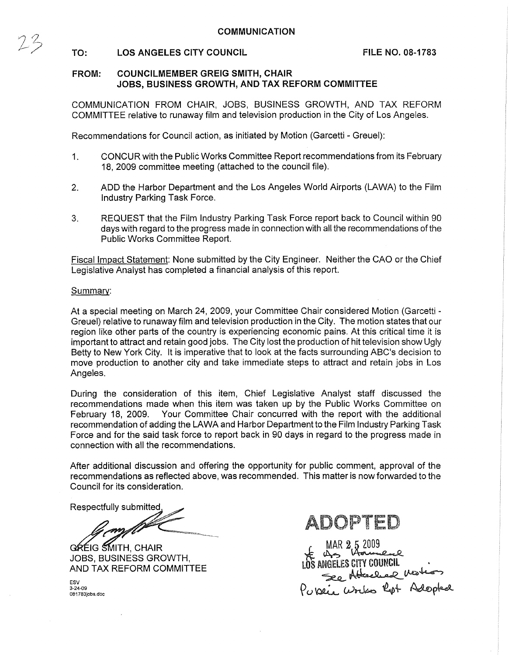# TO: LOS ANGELES CITY COUNCIL FILE NO. 08-1783

# FROM: COUNCILMEMBER GREIG SMITH, CHAIR JOBS, BUSINESS GROWTH, AND TAX REFORM COMMITTEE

COMMUNICATION FROM CHAIR, JOBS, BUSINESS GROWTH, AND TAX REFORM COMMITTEE relative to runaway film and television production in the City of Los Angeles.

Recommendations for Council action, as initiated by Motion (Garcetti - Greuel):

- 1. CONCUR with the Public Works Committee Report recommendations from its February 18, 2009 committee meeting (attached to the council file).
- 2. ADD the Harbor Department and the Los Angeles World Airports (LAWA) to the Film Industry Parking Task Force.
- 3. REQUEST that the Film Industry Parking Task Force report back to Council within 90 days with regard to the progress made in connection with all the recommendations of the Public Works Committee Report.

Fiscal Impact Statement: None submitted by the City Engineer. Neither the CAO or the Chief Legislative Analyst has completed a financial analysis of this report.

## Summary:

 $25$ 

At a special meeting on March 24, 2009, your Committee Chair considered Motion (Garcetti - Greuel) relative to runaway film and television production in the City. The motion states that our region like other parts of the country is experiencing economic pains. At this critical time it is important to attract and retain good jobs. The City lost the production of hit television show Ugly Betty to New York City. It is imperative that to look at the facts surrounding ABC's decision to move production to another city and take immediate steps to attract and retain jobs in Los Angeles.

During the consideration of this item, Chief Legislative Analyst staff discussed the recommendations made when this item was taken up by the Public Works Committee on February 18, 2009. Your Committee Chair concurred with the report with the additional recommendation of adding the LAWA and Harbor Department to the Film Industry Parking Task Force and for the said task force to report back in 90 days in regard to the progress made in connection with all the recommendations.

After additional discussion and offering the opportunity for public comment, approval of the recommendations as reflected above, was recommended. This matter is now forwarded to the Council for its consideration.

Respectfully submitted

.<br>M

GREIG SMITH, CHAIR JOBS, BUSINESS GROWTH, AND TAX REFORM COMMITTEE

ADOPTED

ESV 3-24-09 D81783jobs.doc